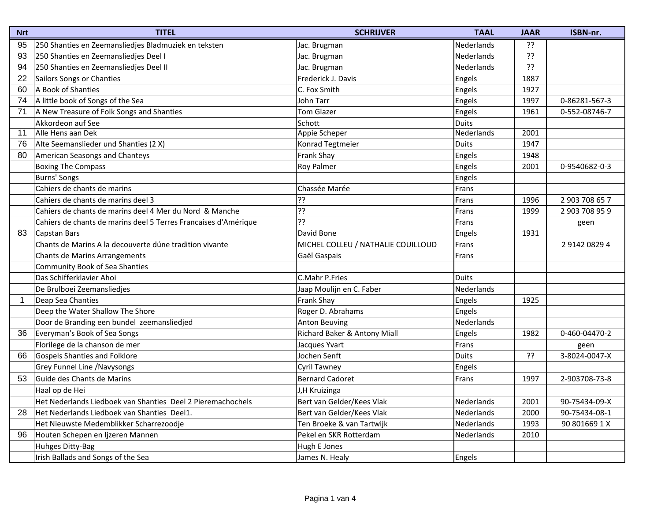| <b>Nrt</b>     | <b>TITEL</b>                                                    | <b>SCHRIJVER</b>                   | <b>TAAL</b>  | <b>JAAR</b> | ISBN-nr.       |
|----------------|-----------------------------------------------------------------|------------------------------------|--------------|-------------|----------------|
| 95             | 250 Shanties en Zeemansliedjes Bladmuziek en teksten            | Jac. Brugman                       | Nederlands   | ??          |                |
| 93             | 250 Shanties en Zeemansliedjes Deel I                           | Jac. Brugman                       | Nederlands   | ??          |                |
| 94             | 250 Shanties en Zeemansliedjes Deel II                          | Jac. Brugman                       | Nederlands   | ??          |                |
| 22             | Sailors Songs or Chanties                                       | Frederick J. Davis                 | Engels       | 1887        |                |
| 60             | A Book of Shanties                                              | C. Fox Smith                       | Engels       | 1927        |                |
| 74             | A little book of Songs of the Sea                               | John Tarr                          | Engels       | 1997        | 0-86281-567-3  |
| 71             | A New Treasure of Folk Songs and Shanties                       | <b>Tom Glazer</b>                  | Engels       | 1961        | 0-552-08746-7  |
|                | Akkordeon auf See                                               | Schott                             | Duits        |             |                |
| 11             | Alle Hens aan Dek                                               | Appie Scheper                      | Nederlands   | 2001        |                |
| 76             | Alte Seemanslieder und Shanties (2 X)                           | Konrad Tegtmeier                   | <b>Duits</b> | 1947        |                |
| 80             | American Seasongs and Chanteys                                  | Frank Shay                         | Engels       | 1948        |                |
|                | <b>Boxing The Compass</b>                                       | <b>Roy Palmer</b>                  | Engels       | 2001        | 0-9540682-0-3  |
|                | Burns' Songs                                                    |                                    | Engels       |             |                |
|                | Cahiers de chants de marins                                     | Chassée Marée                      | Frans        |             |                |
|                | Cahiers de chants de marins deel 3                              | ??                                 | Frans        | 1996        | 2 903 708 65 7 |
|                | Cahiers de chants de marins deel 4 Mer du Nord & Manche         | ??                                 | Frans        | 1999        | 2 903 708 95 9 |
|                | Cahiers de chants de marins deel 5 Terres Francaises d'Amérique | י?ַ                                | Frans        |             | geen           |
| 83             | Capstan Bars                                                    | David Bone                         | Engels       | 1931        |                |
|                | Chants de Marins A la decouverte dúne tradition vivante         | MICHEL COLLEU / NATHALIE COUILLOUD | Frans        |             | 2914208294     |
|                | Chants de Marins Arrangements                                   | Gaël Gaspais                       | Frans        |             |                |
|                | <b>Community Book of Sea Shanties</b>                           |                                    |              |             |                |
|                | Das Schifferklavier Ahoi                                        | C.Mahr P.Fries                     | Duits        |             |                |
|                | De Brulboei Zeemansliedjes                                      | Jaap Moulijn en C. Faber           | Nederlands   |             |                |
| $\overline{1}$ | Deap Sea Chanties                                               | Frank Shay                         | Engels       | 1925        |                |
|                | Deep the Water Shallow The Shore                                | Roger D. Abrahams                  | Engels       |             |                |
|                | Door de Branding een bundel zeemansliedjed                      | <b>Anton Beuving</b>               | Nederlands   |             |                |
| 36             | Everyman's Book of Sea Songs                                    | Richard Baker & Antony Miall       | Engels       | 1982        | 0-460-04470-2  |
|                | Florilege de la chanson de mer                                  | Jacques Yvart                      | Frans        |             | geen           |
| 66             | Gospels Shanties and Folklore                                   | Jochen Senft                       | <b>Duits</b> | ??          | 3-8024-0047-X  |
|                | Grey Funnel Line / Navysongs                                    | <b>Cyril Tawney</b>                | Engels       |             |                |
| 53             | Guide des Chants de Marins                                      | <b>Bernard Cadoret</b>             | Frans        | 1997        | 2-903708-73-8  |
|                | Haal op de Hei                                                  | J, H Kruizinga                     |              |             |                |
|                | Het Nederlands Liedboek van Shanties Deel 2 Pieremachochels     | Bert van Gelder/Kees Vlak          | Nederlands   | 2001        | 90-75434-09-X  |
| 28             | Het Nederlands Liedboek van Shanties Deel1.                     | Bert van Gelder/Kees Vlak          | Nederlands   | 2000        | 90-75434-08-1  |
|                | Het Nieuwste Medemblikker Scharrezoodje                         | Ten Broeke & van Tartwijk          | Nederlands   | 1993        | 90 801669 1 X  |
| 96             | Houten Schepen en Ijzeren Mannen                                | Pekel en SKR Rotterdam             | Nederlands   | 2010        |                |
|                | Huhges Ditty-Bag                                                | Hugh E Jones                       |              |             |                |
|                | Irish Ballads and Songs of the Sea                              | James N. Healy                     | Engels       |             |                |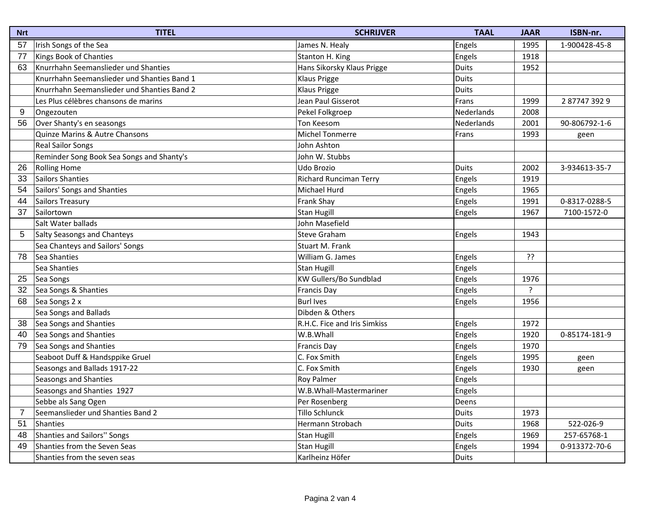| <b>Nrt</b> | <b>TITEL</b>                                | <b>SCHRIJVER</b>             | <b>TAAL</b>  | <b>JAAR</b>    | ISBN-nr.      |
|------------|---------------------------------------------|------------------------------|--------------|----------------|---------------|
| 57         | Irish Songs of the Sea                      | James N. Healy               | Engels       | 1995           | 1-900428-45-8 |
| 77         | Kings Book of Chanties                      | Stanton H. King              | Engels       | 1918           |               |
| 63         | Knurrhahn Seemanslieder und Shanties        | Hans Sikorsky Klaus Prigge   | <b>Duits</b> | 1952           |               |
|            | Knurrhahn Seemanslieder und Shanties Band 1 | Klaus Prigge                 | <b>Duits</b> |                |               |
|            | Knurrhahn Seemanslieder und Shanties Band 2 | Klaus Prigge                 | <b>Duits</b> |                |               |
|            | Les Plus célèbres chansons de marins        | Jean Paul Gisserot           | Frans        | 1999           | 2877473929    |
| 9          | Ongezouten                                  | Pekel Folkgroep              | Nederlands   | 2008           |               |
| 56         | Over Shanty's en seasongs                   | Ton Keesom                   | Nederlands   | 2001           | 90-806792-1-6 |
|            | <b>Quinze Marins &amp; Autre Chansons</b>   | <b>Michel Tonmerre</b>       | Frans        | 1993           | geen          |
|            | <b>Real Sailor Songs</b>                    | John Ashton                  |              |                |               |
|            | Reminder Song Book Sea Songs and Shanty's   | John W. Stubbs               |              |                |               |
| 26         | <b>Rolling Home</b>                         | Udo Brozio                   | Duits        | 2002           | 3-934613-35-7 |
| 33         | Sailors Shanties                            | Richard Runciman Terry       | Engels       | 1919           |               |
| 54         | Sailors' Songs and Shanties                 | Michael Hurd                 | Engels       | 1965           |               |
| 44         | Sailors Treasury                            | Frank Shay                   | Engels       | 1991           | 0-8317-0288-5 |
| 37         | Sailortown                                  | <b>Stan Hugill</b>           | Engels       | 1967           | 7100-1572-0   |
|            | Salt Water ballads                          | John Masefield               |              |                |               |
| 5          | Salty Seasongs and Chanteys                 | <b>Steve Graham</b>          | Engels       | 1943           |               |
|            | Sea Chanteys and Sailors' Songs             | Stuart M. Frank              |              |                |               |
| 78         | Sea Shanties                                | William G. James             | Engels       | ??             |               |
|            | Sea Shanties                                | <b>Stan Hugill</b>           | Engels       |                |               |
| 25         | Sea Songs                                   | KW Gullers/Bo Sundblad       | Engels       | 1976           |               |
| 32         | Sea Songs & Shanties                        | <b>Francis Day</b>           | Engels       | $\overline{z}$ |               |
| 68         | Sea Songs 2 x                               | <b>Burl Ives</b>             | Engels       | 1956           |               |
|            | Sea Songs and Ballads                       | Dibden & Others              |              |                |               |
| 38         | Sea Songs and Shanties                      | R.H.C. Fice and Iris Simkiss | Engels       | 1972           |               |
| 40         | Sea Songs and Shanties                      | W.B.Whall                    | Engels       | 1920           | 0-85174-181-9 |
| 79         | Sea Songs and Shanties                      | <b>Francis Day</b>           | Engels       | 1970           |               |
|            | Seaboot Duff & Handsppike Gruel             | C. Fox Smith                 | Engels       | 1995           | geen          |
|            | Seasongs and Ballads 1917-22                | C. Fox Smith                 | Engels       | 1930           | geen          |
|            | Seasongs and Shanties                       | <b>Roy Palmer</b>            | Engels       |                |               |
|            | Seasongs and Shanties 1927                  | W.B.Whall-Mastermariner      | Engels       |                |               |
|            | Sebbe als Sang Ogen                         | Per Rosenberg                | Deens        |                |               |
| 7          | Seemanslieder und Shanties Band 2           | Tillo Schlunck               | Duits        | 1973           |               |
| 51         | Shanties                                    | Hermann Strobach             | Duits        | 1968           | 522-026-9     |
| 48         | Shanties and Sailors" Songs                 | <b>Stan Hugill</b>           | Engels       | 1969           | 257-65768-1   |
| 49         | Shanties from the Seven Seas                | <b>Stan Hugill</b>           | Engels       | 1994           | 0-913372-70-6 |
|            | Shanties from the seven seas                | Karlheinz Höfer              | Duits        |                |               |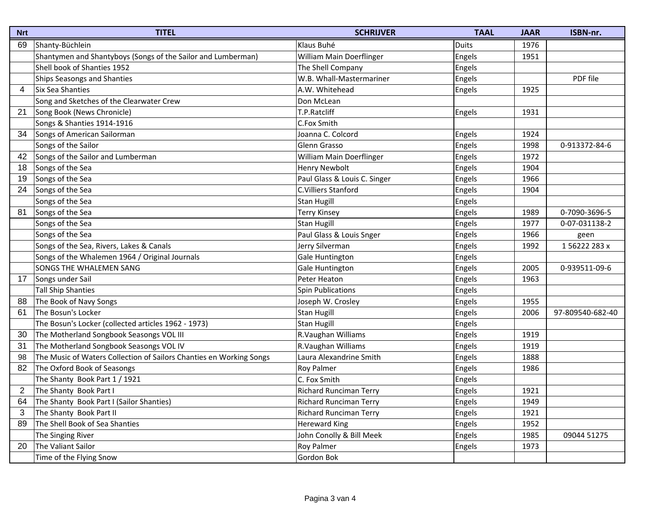| <b>Nrt</b> | <b>TITEL</b>                                                        | <b>SCHRIJVER</b>              | <b>TAAL</b> | <b>JAAR</b> | ISBN-nr.         |
|------------|---------------------------------------------------------------------|-------------------------------|-------------|-------------|------------------|
| 69         | Shanty-Büchlein                                                     | Klaus Buhé                    | Duits       | 1976        |                  |
|            | Shantymen and Shantyboys (Songs of the Sailor and Lumberman)        | William Main Doerflinger      | Engels      | 1951        |                  |
|            | Shell book of Shanties 1952                                         | The Shell Company             | Engels      |             |                  |
|            | <b>Ships Seasongs and Shanties</b>                                  | W.B. Whall-Mastermariner      | Engels      |             | PDF file         |
| 4          | Six Sea Shanties                                                    | A.W. Whitehead                | Engels      | 1925        |                  |
|            | Song and Sketches of the Clearwater Crew                            | Don McLean                    |             |             |                  |
| 21         | Song Book (News Chronicle)                                          | T.P.Ratcliff                  | Engels      | 1931        |                  |
|            | Songs & Shanties 1914-1916                                          | C.Fox Smith                   |             |             |                  |
| 34         | Songs of American Sailorman                                         | Joanna C. Colcord             | Engels      | 1924        |                  |
|            | Songs of the Sailor                                                 | Glenn Grasso                  | Engels      | 1998        | 0-913372-84-6    |
| 42         | Songs of the Sailor and Lumberman                                   | William Main Doerflinger      | Engels      | 1972        |                  |
| 18         | Songs of the Sea                                                    | <b>Henry Newbolt</b>          | Engels      | 1904        |                  |
| 19         | Songs of the Sea                                                    | Paul Glass & Louis C. Singer  | Engels      | 1966        |                  |
| 24         | Songs of the Sea                                                    | C.Villiers Stanford           | Engels      | 1904        |                  |
|            | Songs of the Sea                                                    | <b>Stan Hugill</b>            | Engels      |             |                  |
| 81         | Songs of the Sea                                                    | <b>Terry Kinsey</b>           | Engels      | 1989        | 0-7090-3696-5    |
|            | Songs of the Sea                                                    | <b>Stan Hugill</b>            | Engels      | 1977        | 0-07-031138-2    |
|            | Songs of the Sea                                                    | Paul Glass & Louis Snger      | Engels      | 1966        | geen             |
|            | Songs of the Sea, Rivers, Lakes & Canals                            | Jerry Silverman               | Engels      | 1992        | 156222283x       |
|            | Songs of the Whalemen 1964 / Original Journals                      | Gale Huntington               | Engels      |             |                  |
|            | SONGS THE WHALEMEN SANG                                             | Gale Huntington               | Engels      | 2005        | 0-939511-09-6    |
| 17         | Songs under Sail                                                    | Peter Heaton                  | Engels      | 1963        |                  |
|            | <b>Tall Ship Shanties</b>                                           | <b>Spin Publications</b>      | Engels      |             |                  |
| 88         | The Book of Navy Songs                                              | Joseph W. Crosley             | Engels      | 1955        |                  |
| 61         | The Bosun's Locker                                                  | <b>Stan Hugill</b>            | Engels      | 2006        | 97-809540-682-40 |
|            | The Bosun's Locker (collected articles 1962 - 1973)                 | <b>Stan Hugill</b>            | Engels      |             |                  |
| 30         | The Motherland Songbook Seasongs VOL III                            | R.Vaughan Williams            | Engels      | 1919        |                  |
| 31         | The Motherland Songbook Seasongs VOL IV                             | R.Vaughan Williams            | Engels      | 1919        |                  |
| 98         | The Music of Waters Collection of Sailors Chanties en Working Songs | Laura Alexandrine Smith       | Engels      | 1888        |                  |
| 82         | The Oxford Book of Seasongs                                         | <b>Roy Palmer</b>             | Engels      | 1986        |                  |
|            | The Shanty Book Part 1 / 1921                                       | C. Fox Smith                  | Engels      |             |                  |
| 2          | The Shanty Book Part I                                              | Richard Runciman Terry        | Engels      | 1921        |                  |
| 64         | The Shanty Book Part I (Sailor Shanties)                            | Richard Runciman Terry        | Engels      | 1949        |                  |
| 3          | The Shanty Book Part II                                             | <b>Richard Runciman Terry</b> | Engels      | 1921        |                  |
| 89         | The Shell Book of Sea Shanties                                      | <b>Hereward King</b>          | Engels      | 1952        |                  |
|            | The Singing River                                                   | John Conolly & Bill Meek      | Engels      | 1985        | 09044 51275      |
| 20         | The Valiant Sailor                                                  | Roy Palmer                    | Engels      | 1973        |                  |
|            | Time of the Flying Snow                                             | Gordon Bok                    |             |             |                  |